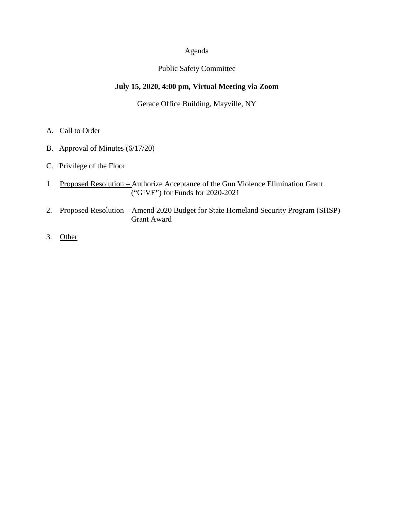## Agenda

#### Public Safety Committee

# **July 15, 2020, 4:00 pm, Virtual Meeting via Zoom**

#### Gerace Office Building, Mayville, NY

- A. Call to Order
- B. Approval of Minutes (6/17/20)
- C. Privilege of the Floor
- 1. Proposed Resolution Authorize Acceptance of the Gun Violence Elimination Grant ("GIVE") for Funds for 2020-2021
- 2. Proposed Resolution Amend 2020 Budget for State Homeland Security Program (SHSP) Grant Award
- 3. Other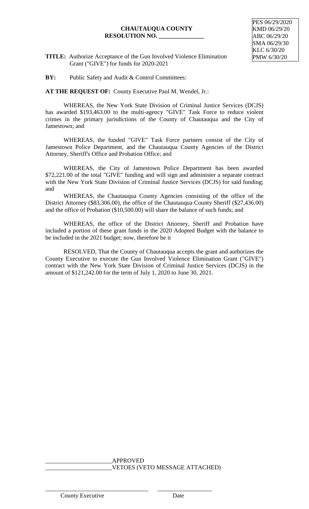# **CHAUTAUQUA COUNTY RESOLUTION NO. \_\_\_\_\_\_\_\_\_\_\_\_\_\_\_**

**TITLE:** Authorize Acceptance of the Gun Involved Violence Elimination Grant ("GIVE") for funds for 2020-2021

**BY:** Public Safety and Audit & Control Committees:

**AT THE REQUEST OF:** County Executive Paul M. Wendel, Jr.:

WHEREAS, the New York State Division of Criminal Justice Services (DCJS) has awarded \$193,463.00 to the multi-agency "GIVE" Task Force to reduce violent crimes in the primary jurisdictions of the County of Chautauqua and the City of Jamestown; and

WHEREAS, the funded "GIVE" Task Force partners consist of the City of Jamestown Police Department, and the Chautauqua County Agencies of the District Attorney, Sheriff's Office and Probation Office; and

WHEREAS, the City of Jamestown Police Department has been awarded \$72,221.00 of the total "GIVE" funding and will sign and administer a separate contract with the New York State Division of Criminal Justice Services (DCJS) for said funding; and

WHEREAS, the Chautauqua County Agencies consisting of the office of the District Attorney (\$83,306.00), the office of the Chautauqua County Sheriff (\$27,436.00) and the office of Probation (\$10,500.00) will share the balance of such funds; and

WHEREAS, the office of the District Attorney, Sheriff and Probation have included a portion of these grant funds in the 2020 Adopted Budget with the balance to be included in the 2021 budget; now, therefore be it

RESOLVED, That the County of Chautauqua accepts the grant and authorizes the County Executive to execute the Gun Involved Violence Elimination Grant ("GIVE") contract with the New York State Division of Criminal Justice Services (DCJS) in the amount of \$121,242.00 for the term of July 1, 2020 to June 30, 2021.

> \_\_\_\_\_\_\_\_\_\_\_\_\_\_\_\_\_\_\_\_\_\_APPROVED \_\_\_\_\_\_\_\_\_\_\_\_\_\_\_\_\_\_\_\_\_\_VETOES (VETO MESSAGE ATTACHED)

County Executive Date

\_\_\_\_\_\_\_\_\_\_\_\_\_\_\_\_\_\_\_\_\_\_\_\_\_\_\_\_\_\_\_\_\_\_ \_\_\_\_\_\_\_\_\_\_\_\_\_\_\_\_\_\_